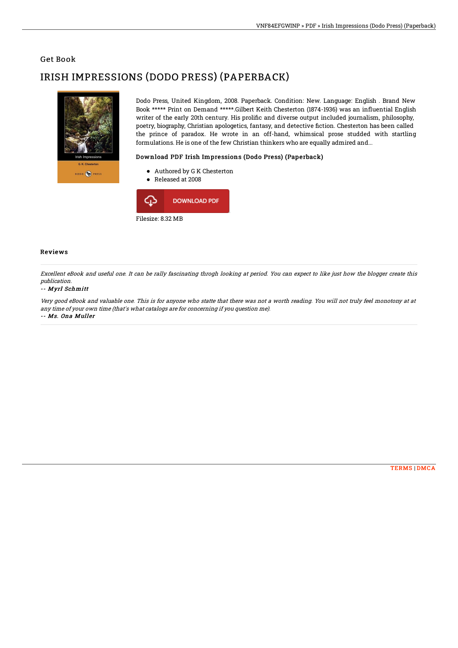## Get Book

# IRISH IMPRESSIONS (DODO PRESS) (PAPERBACK)



Dodo Press, United Kingdom, 2008. Paperback. Condition: New. Language: English . Brand New Book \*\*\*\*\* Print on Demand \*\*\*\*\*.Gilbert Keith Chesterton (1874-1936) was an influential English writer of the early 20th century. His prolific and diverse output included journalism, philosophy, poetry, biography, Christian apologetics, fantasy, and detective fiction. Chesterton has been called the prince of paradox. He wrote in an off-hand, whimsical prose studded with startling formulations. He is one of the few Christian thinkers who are equally admired and...

### Download PDF Irish Impressions (Dodo Press) (Paperback)

- Authored by G K Chesterton
- Released at 2008



#### Reviews

Excellent eBook and useful one. It can be rally fascinating throgh looking at period. You can expect to like just how the blogger create this publication.

#### -- Myrl Schmitt

Very good eBook and valuable one. This is for anyone who statte that there was not <sup>a</sup> worth reading. You will not truly feel monotony at at any time of your own time (that's what catalogs are for concerning if you question me). -- Ms. Ona Muller